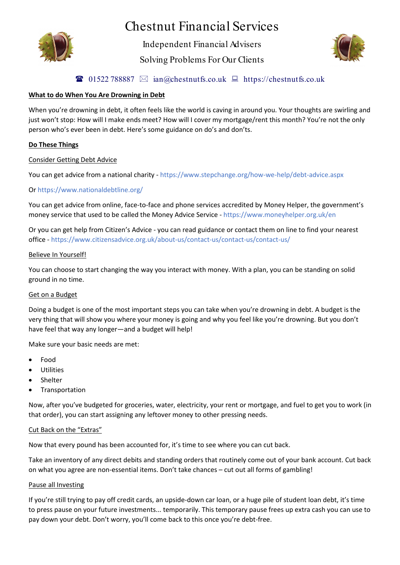

# Chestnut Financial Services

Independent Financial Advisers

Solving Problems For Our Clients



## **101522 788887**  $\boxtimes$  ian@chestnutfs.co.uk  $\boxplus$  https://chestnutfs.co.uk

## **What to do When You Are Drowning in Debt**

When you're drowning in debt, it often feels like the world is caving in around you. Your thoughts are swirling and just won't stop: How will I make ends meet? How will I cover my mortgage/rent this month? You're not the only person who's ever been in debt. Here's some guidance on do's and don'ts.

## **Do These Things**

#### Consider Getting Debt Advice

You can get advice from a national charity - https://www.stepchange.org/how-we-help/debt-advice.aspx

## Or https://www.nationaldebtline.org/

You can get advice from online, face-to-face and phone services accredited by Money Helper, the government's money service that used to be called the Money Advice Service - https://www.moneyhelper.org.uk/en

Or you can get help from Citizen's Advice - you can read guidance or contact them on line to find your nearest office - https://www.citizensadvice.org.uk/about-us/contact-us/contact-us/contact-us/

#### Believe In Yourself!

You can choose to start changing the way you interact with money. With a plan, you can be standing on solid ground in no time.

#### Get on a Budget

Doing a budget is one of the most important steps you can take when you're drowning in debt. A budget is the very thing that will show you where your money is going and why you feel like you're drowning. But you don't have feel that way any longer—and a budget will help!

Make sure your basic needs are met:

- Food
- **Utilities**
- Shelter
- Transportation

Now, after you've budgeted for groceries, water, electricity, your rent or mortgage, and fuel to get you to work (in that order), you can start assigning any leftover money to other pressing needs.

#### Cut Back on the "Extras"

Now that every pound has been accounted for, it's time to see where you can cut back.

Take an inventory of any direct debits and standing orders that routinely come out of your bank account. Cut back on what you agree are non-essential items. Don't take chances – cut out all forms of gambling!

#### Pause all Investing

If you're still trying to pay off credit cards, an upside-down car loan, or a huge pile of student loan debt, it's time to press pause on your future investments... temporarily. This temporary pause frees up extra cash you can use to pay down your debt. Don't worry, you'll come back to this once you're debt-free.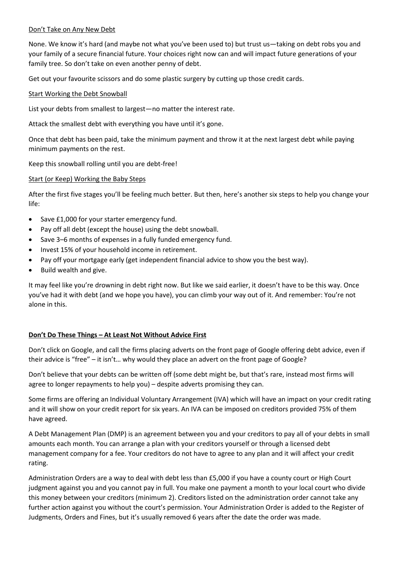#### Don't Take on Any New Debt

None. We know it's hard (and maybe not what you've been used to) but trust us—taking on debt robs you and your family of a secure financial future. Your choices right now can and will impact future generations of your family tree. So don't take on even another penny of debt.

Get out your favourite scissors and do some plastic surgery by cutting up those credit cards.

## Start Working the Debt Snowball

List your debts from smallest to largest—no matter the interest rate.

Attack the smallest debt with everything you have until it's gone.

Once that debt has been paid, take the minimum payment and throw it at the next largest debt while paying minimum payments on the rest.

Keep this snowball rolling until you are debt-free!

## Start (or Keep) Working the Baby Steps

After the first five stages you'll be feeling much better. But then, here's another six steps to help you change your life:

- Save £1,000 for your starter emergency fund.
- Pay off all debt (except the house) using the debt snowball.
- Save 3–6 months of expenses in a fully funded emergency fund.
- Invest 15% of your household income in retirement.
- Pay off your mortgage early (get independent financial advice to show you the best way).
- Build wealth and give.

It may feel like you're drowning in debt right now. But like we said earlier, it doesn't have to be this way. Once you've had it with debt (and we hope you have), you can climb your way out of it. And remember: You're not alone in this.

## **Don't Do These Things – At Least Not Without Advice First**

Don't click on Google, and call the firms placing adverts on the front page of Google offering debt advice, even if their advice is "free" – it isn't… why would they place an advert on the front page of Google?

Don't believe that your debts can be written off (some debt might be, but that's rare, instead most firms will agree to longer repayments to help you) – despite adverts promising they can.

Some firms are offering an Individual Voluntary Arrangement (IVA) which will have an impact on your credit rating and it will show on your credit report for six years. An IVA can be imposed on creditors provided 75% of them have agreed.

A Debt Management Plan (DMP) is an agreement between you and your creditors to pay all of your debts in small amounts each month. You can arrange a plan with your creditors yourself or through a licensed debt management company for a fee. Your creditors do not have to agree to any plan and it will affect your credit rating.

Administration Orders are a way to deal with debt less than £5,000 if you have a county court or High Court judgment against you and you cannot pay in full. You make one payment a month to your local court who divide this money between your creditors (minimum 2). Creditors listed on the administration order cannot take any further action against you without the court's permission. Your Administration Order is added to the Register of Judgments, Orders and Fines, but it's usually removed 6 years after the date the order was made.